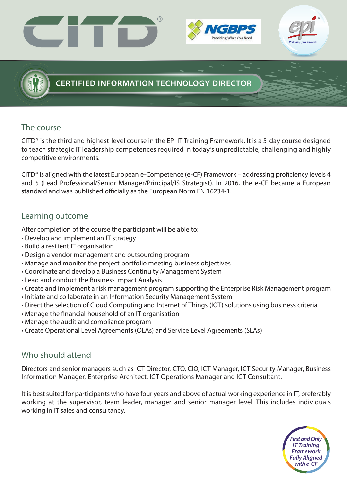





## **CERTIFIED INFORMATION TECHNOLOGY DIRECTOR**

### The course

CITD® is the third and highest-level course in the EPI IT Training Framework. It is a 5-day course designed to teach strategic IT leadership competences required in today's unpredictable, challenging and highly competitive environments.

CITD<sup>®</sup> is aligned with the latest European e-Competence (e-CF) Framework – addressing proficiency levels 4 and 5 (Lead Professional/Senior Manager/Principal/IS Strategist). In 2016, the e-CF became a European standard and was published officially as the European Norm EN 16234-1.

## Learning outcome

After completion of the course the participant will be able to:

- Develop and implement an IT strategy
- Build a resilient IT organisation
- Design a vendor management and outsourcing program
- Manage and monitor the project portfolio meeting business objectives
- Coordinate and develop a Business Continuity Management System
- Lead and conduct the Business Impact Analysis
- Create and implement a risk management program supporting the Enterprise Risk Management program
- Initiate and collaborate in an Information Security Management System
- Direct the selection of Cloud Computing and Internet of Things (IOT) solutions using business criteria
- Manage the financial household of an IT organisation
- Manage the audit and compliance program
- Create Operational Level Agreements (OLAs) and Service Level Agreements (SLAs)

### Who should attend

Directors and senior managers such as ICT Director, CTO, CIO, ICT Manager, ICT Security Manager, Business Information Manager, Enterprise Architect, ICT Operations Manager and ICT Consultant.

It is best suited for participants who have four years and above of actual working experience in IT, preferably working at the supervisor, team leader, manager and senior manager level. This includes individuals working in IT sales and consultancy.

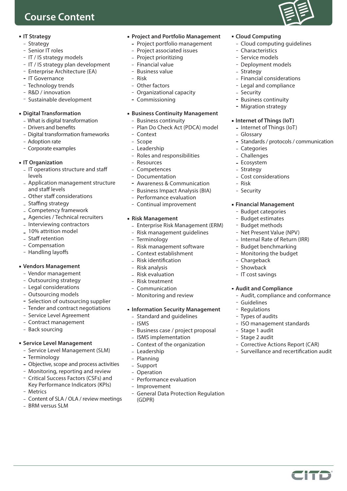## **Course Content**

#### **IT Strategy**

- Strategy
- Senior IT roles
- IT / IS strategy models
- IT / IS strategy plan development
- Enterprise Architecture (EA)
- IT Governance
- Technology trends
- R&D / innovation
- Sustainable development

#### **Digital Transformation**

- What is digital transformation
- Drivers and benefits
- Digital transformation frameworks
- Adoption rate
- Corporate examples

#### **IT Organization**

- IT operations structure and staff levels
- Application management structure and staff levels
- Other staff considerations
- Staffing strategy
- Competency framework
- Agencies / Technical recruiters
- Interviewing contractors
- 10% attrition model
- Staff retention
- Compensation
- Handling layoffs

#### **Vendors Management**

- Vendor management
- Outsourcing strategy
- Legal considerations
- Outsourcing models
- Selection of outsourcing supplier
- Tender and contract negotiations
- Service Level Agreement
- Contract management
- Back sourcing

#### **Service Level Management**

- Service Level Management (SLM)
- Terminology
- Objective, scope and process activities
- Monitoring, reporting and review
- Critical Success Factors (CSFs) and Key Performance Indicators (KPIs)
- Metrics
- Content of SLA / OLA / review meetings
- BRM versus SLM
- **Project and Portfolio Management**
	- Project portfolio management
	- Project associated issues
	- Project prioritizing
	- Financial value
	- Business value
	- Risk
	- Other factors
	- Organizational capacity
	- Commissioning

#### **Business Continuity Management**

- Business continuity<br>- Plan Do Check Act (
- Plan Do Check Act (PDCA) model
- Context
- Scope
- Leadership
- Roles and responsibilities
- Resources
- Competences
- Documentation
- Awareness & Communication
- Business Impact Analysis (BIA)
- Performance evaluation
- Continual improvement

#### **Risk Management**

- Enterprise Risk Management (ERM)
- Risk management guidelines
- Terminology
- Risk management software
- Context establishment
- Risk identification
- Risk analysis
- Risk evaluation
- Risk treatment
- Communication
- Monitoring and review

#### **Information Security Management**

- Standard and guidelines
- $-$  ISMS
- Business case / project proposal
- ISMS implementation
- Context of the organization
- Leadership
- Planning
- Support
- Operation
- Performance evaluation
- Improvement
- General Data Protection Regulation (GDPR)
- **Cloud Computing**
	- Cloud computing guidelines
	- Characteristics - Service models

- Strategy

- Security

Glossary

- Risk - Security

 Categories Challenges - Ecosystem - Strategy

- Deployment models

- Business continuity - Migration strategy

**Internet of Things (IoT)** - Internet of Things (IoT)

Cost considerations

**Financial Management** - Budget categories - Budget estimates - Budget methods - Net Present Value (NPV) - Internal Rate of Return (IRR) - Budget benchmarking - Monitoring the budget

- Chargeback - Showback - IT cost savings

 Guidelines - Regulations Types of audits

- Stage 1 audit - Stage 2 audit

**Audit and Compliance**

Audit, compliance and conformance

- ISO management standards

- Corrective Actions Report (CAR)  $-$  Surveillance and recertification audit

CITO

- Standards / protocols / communication

- Financial considerations - Legal and compliance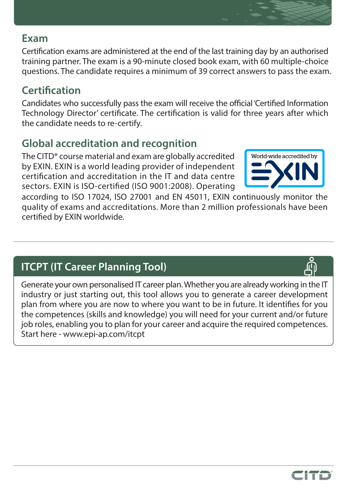## **Exam**

Certification exams are administered at the end of the last training day by an authorised training partner. The exam is a 90-minute closed book exam, with 60 multiple-choice questions. The candidate requires a minimum of 39 correct answers to pass the exam.

# **Certification**

Candidates who successfully pass the exam will receive the official 'Certified Information Technology Director' certificate. The certification is valid for three years after which the candidate needs to re-certify.

# **Global accreditation and recognition**

The CITD® course material and exam are globally accredited by EXIN. EXIN is a world leading provider of independent certification and accreditation in the IT and data centre sectors. EXIN is ISO-certified (ISO 9001:2008). Operating



according to ISO 17024, ISO 27001 and EN 45011, EXIN continuously monitor the quality of exams and accreditations. More than 2 million professionals have been certified by EXIN worldwide.

# **ITCPT (IT Career Planning Tool)**

Generate your own personalised IT career plan. Whether you are already working in the IT industry or just starting out, this tool allows you to generate a career development plan from where you are now to where you want to be in future. It identifies for you the competences (skills and knowledge) you will need for your current and/or future job roles, enabling you to plan for your career and acquire the required competences. Start here - [www.epi-ap.com/itcpt](https://www.epi-ap.com/itcpt/)